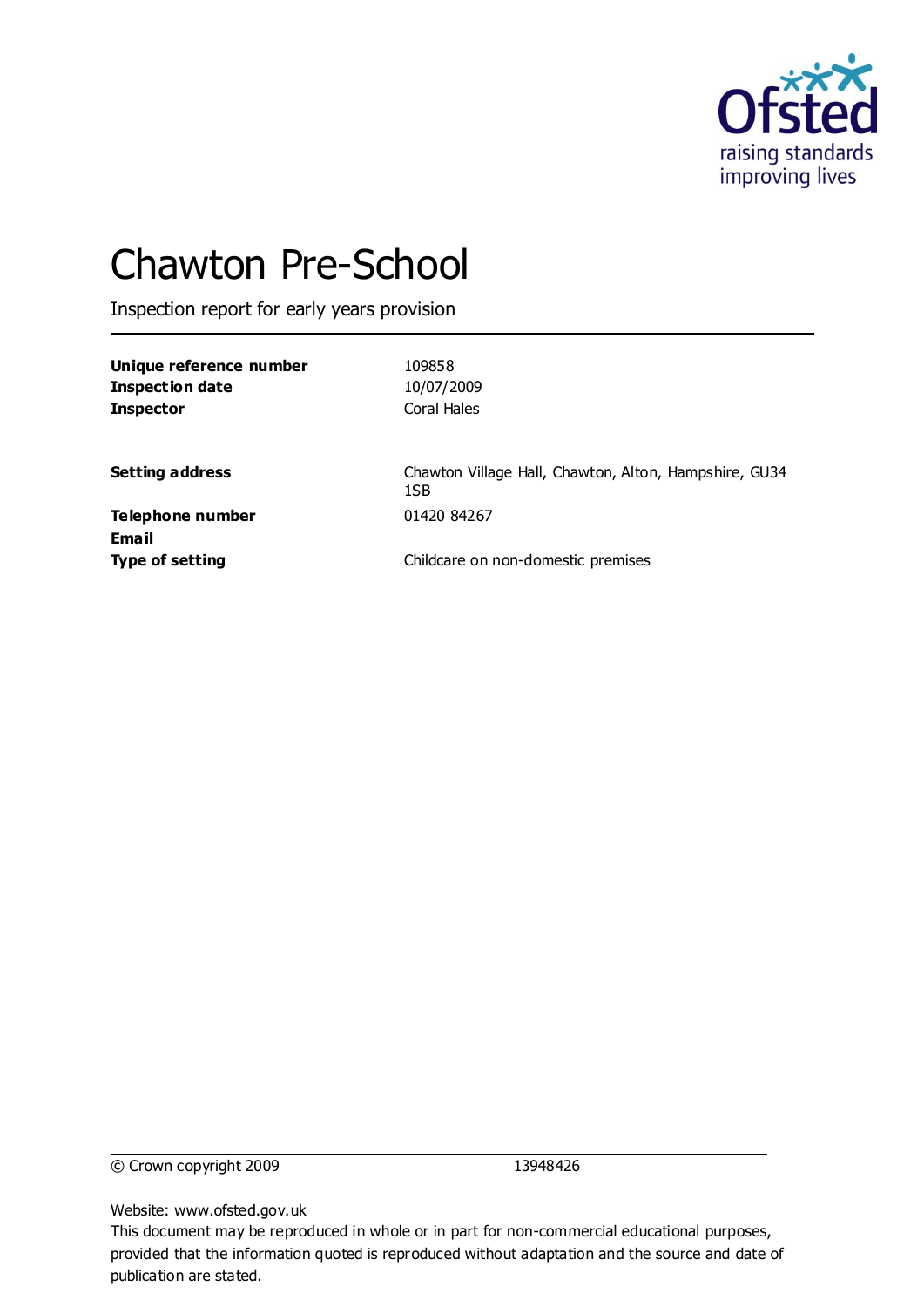

# Chawton Pre-School

Inspection report for early years provision

| Unique reference number<br><b>Inspection date</b><br><b>Inspector</b> | 109858<br>10/07/2009<br>Coral Hales                          |
|-----------------------------------------------------------------------|--------------------------------------------------------------|
| <b>Setting address</b>                                                | Chawton Village Hall, Chawton, Alton, Hampshire, GU34<br>1SB |
| Telephone number<br><b>Email</b>                                      | 01420 84267                                                  |
| <b>Type of setting</b>                                                | Childcare on non-domestic premises                           |

© Crown copyright 2009 13948426

Website: www.ofsted.gov.uk

This document may be reproduced in whole or in part for non-commercial educational purposes, provided that the information quoted is reproduced without adaptation and the source and date of publication are stated.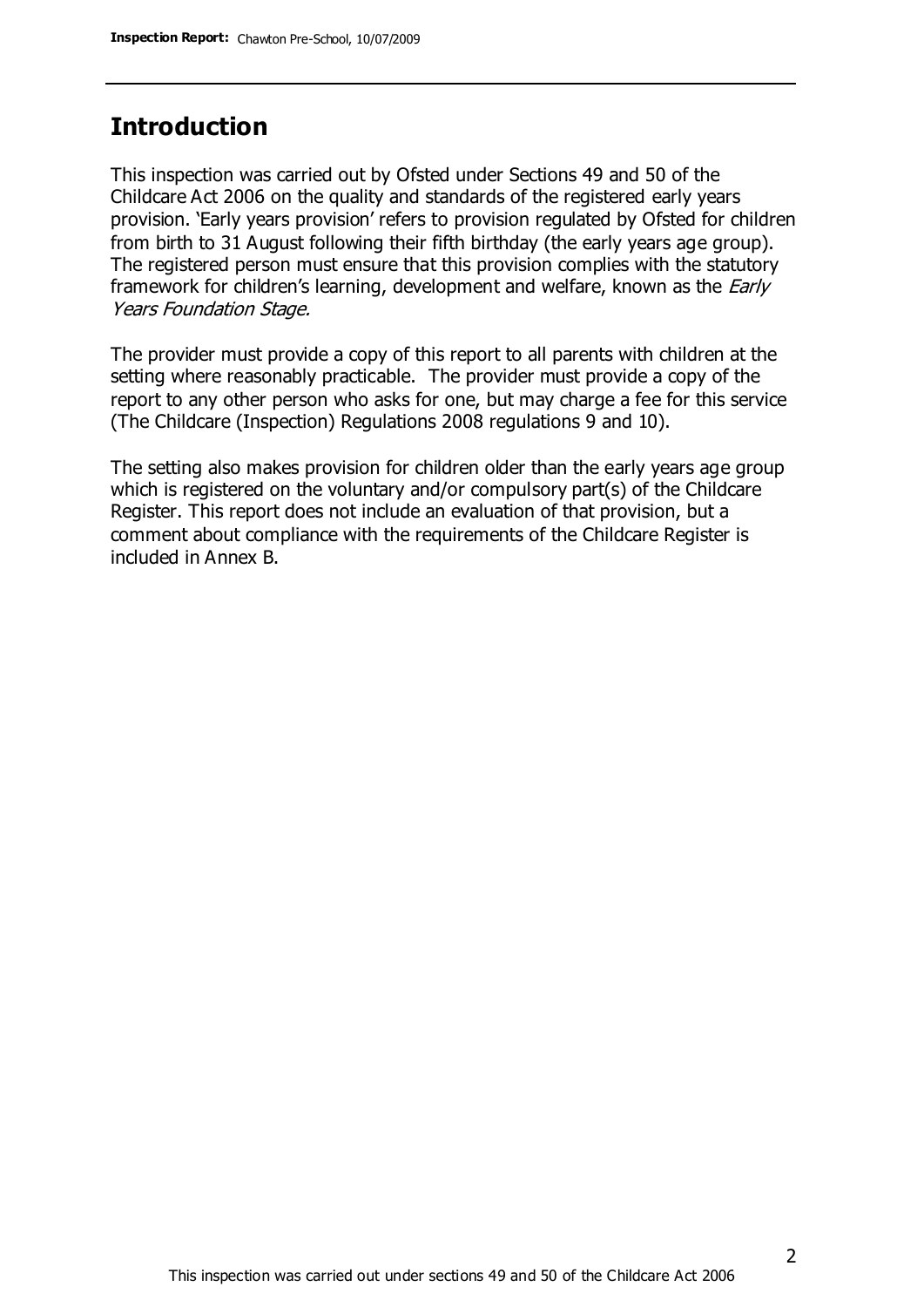## **Introduction**

This inspection was carried out by Ofsted under Sections 49 and 50 of the Childcare Act 2006 on the quality and standards of the registered early years provision. 'Early years provision' refers to provision regulated by Ofsted for children from birth to 31 August following their fifth birthday (the early years age group). The registered person must ensure that this provision complies with the statutory framework for children's learning, development and welfare, known as the *Early* Years Foundation Stage.

The provider must provide a copy of this report to all parents with children at the setting where reasonably practicable. The provider must provide a copy of the report to any other person who asks for one, but may charge a fee for this service (The Childcare (Inspection) Regulations 2008 regulations 9 and 10).

The setting also makes provision for children older than the early years age group which is registered on the voluntary and/or compulsory part(s) of the Childcare Register. This report does not include an evaluation of that provision, but a comment about compliance with the requirements of the Childcare Register is included in Annex B.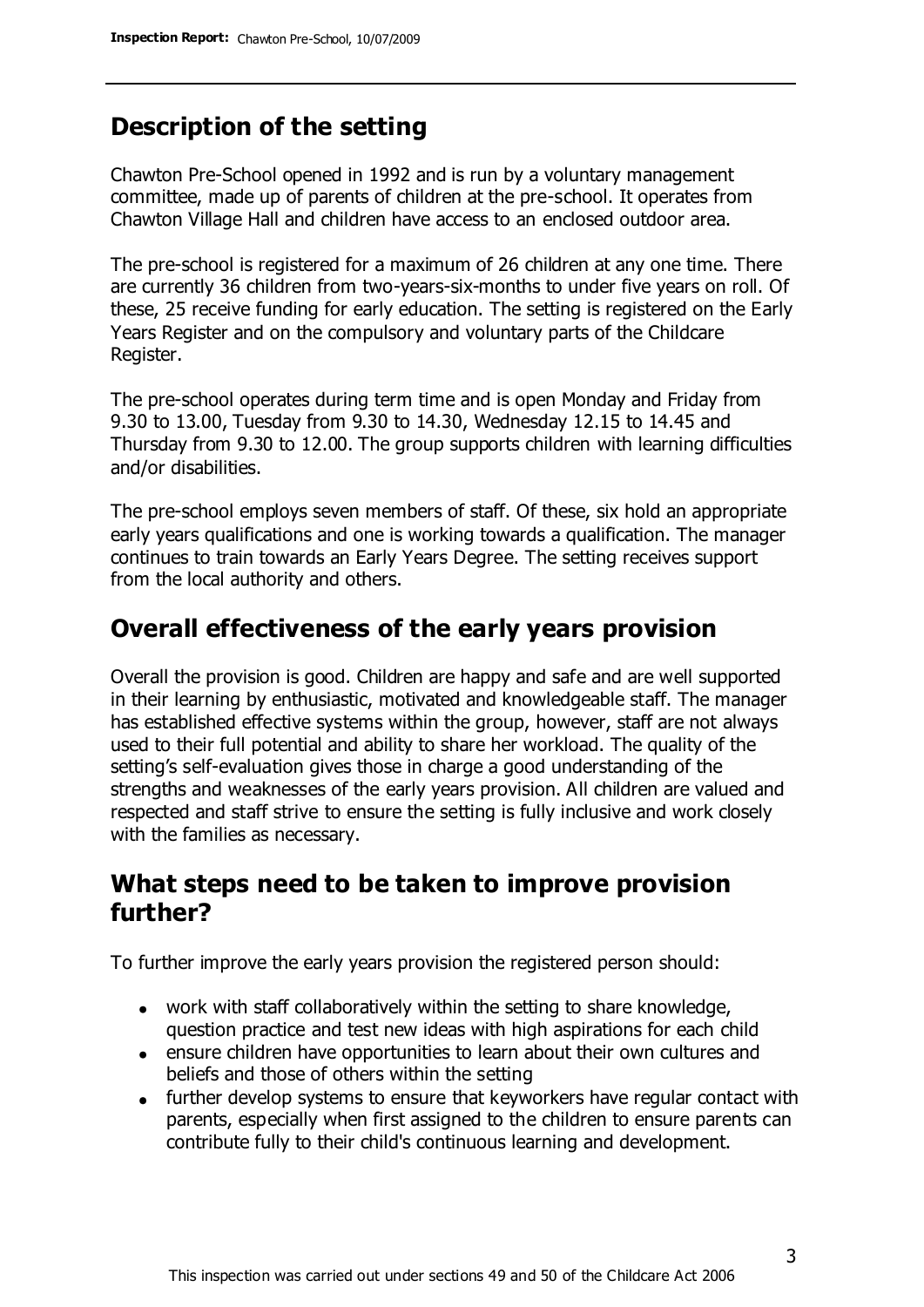## **Description of the setting**

Chawton Pre-School opened in 1992 and is run by a voluntary management committee, made up of parents of children at the pre-school. It operates from Chawton Village Hall and children have access to an enclosed outdoor area.

The pre-school is registered for a maximum of 26 children at any one time. There are currently 36 children from two-years-six-months to under five years on roll. Of these, 25 receive funding for early education. The setting is registered on the Early Years Register and on the compulsory and voluntary parts of the Childcare Register.

The pre-school operates during term time and is open Monday and Friday from 9.30 to 13.00, Tuesday from 9.30 to 14.30, Wednesday 12.15 to 14.45 and Thursday from 9.30 to 12.00. The group supports children with learning difficulties and/or disabilities.

The pre-school employs seven members of staff. Of these, six hold an appropriate early years qualifications and one is working towards a qualification. The manager continues to train towards an Early Years Degree. The setting receives support from the local authority and others.

### **Overall effectiveness of the early years provision**

Overall the provision is good. Children are happy and safe and are well supported in their learning by enthusiastic, motivated and knowledgeable staff. The manager has established effective systems within the group, however, staff are not always used to their full potential and ability to share her workload. The quality of the setting's self-evaluation gives those in charge a good understanding of the strengths and weaknesses of the early years provision. All children are valued and respected and staff strive to ensure the setting is fully inclusive and work closely with the families as necessary.

### **What steps need to be taken to improve provision further?**

To further improve the early years provision the registered person should:

- work with staff collaboratively within the setting to share knowledge, question practice and test new ideas with high aspirations for each child
- ensure children have opportunities to learn about their own cultures and beliefs and those of others within the setting
- further develop systems to ensure that keyworkers have regular contact with parents, especially when first assigned to the children to ensure parents can contribute fully to their child's continuous learning and development.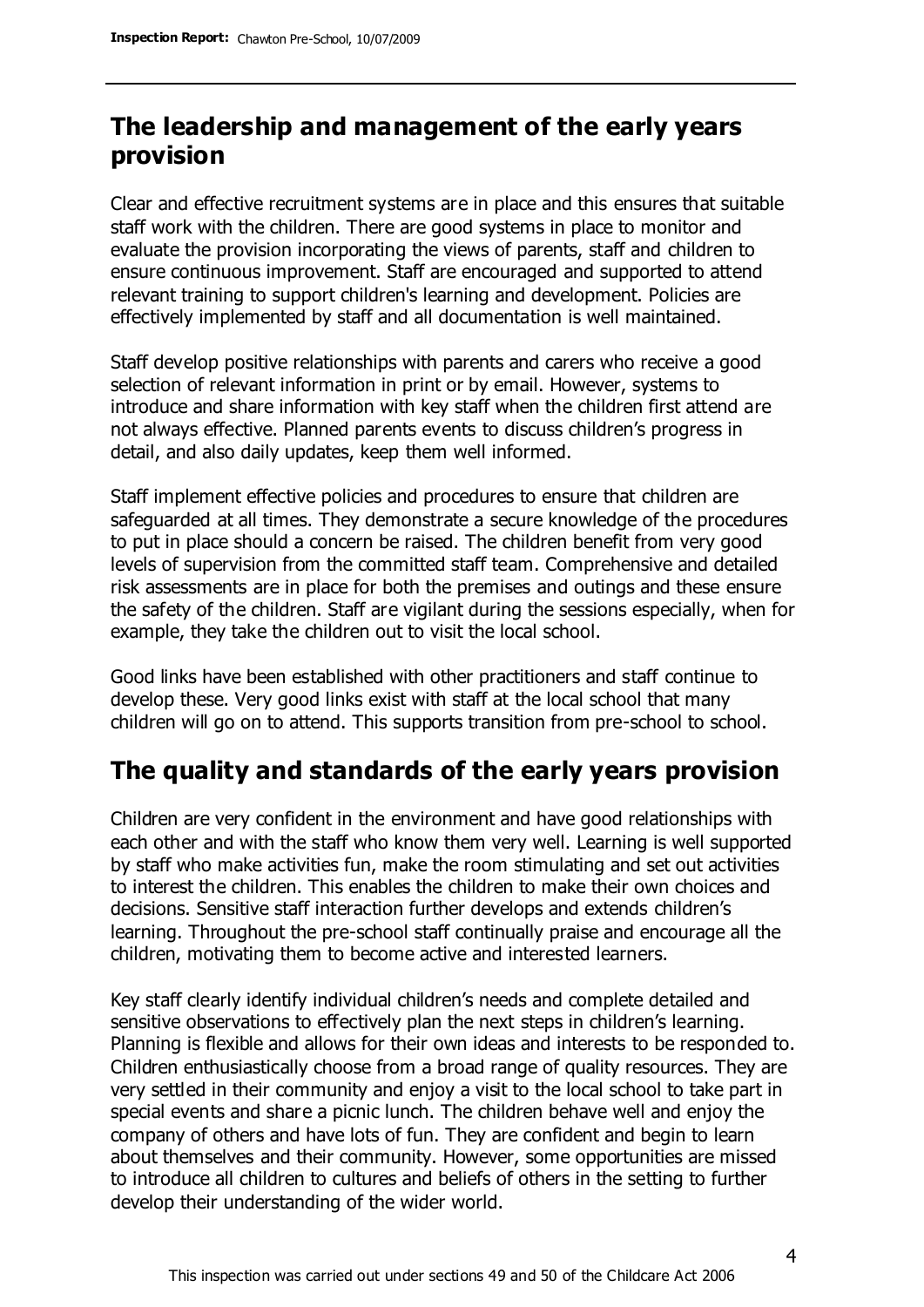# **The leadership and management of the early years provision**

Clear and effective recruitment systems are in place and this ensures that suitable staff work with the children. There are good systems in place to monitor and evaluate the provision incorporating the views of parents, staff and children to ensure continuous improvement. Staff are encouraged and supported to attend relevant training to support children's learning and development. Policies are effectively implemented by staff and all documentation is well maintained.

Staff develop positive relationships with parents and carers who receive a good selection of relevant information in print or by email. However, systems to introduce and share information with key staff when the children first attend are not always effective. Planned parents events to discuss children's progress in detail, and also daily updates, keep them well informed.

Staff implement effective policies and procedures to ensure that children are safeguarded at all times. They demonstrate a secure knowledge of the procedures to put in place should a concern be raised. The children benefit from very good levels of supervision from the committed staff team. Comprehensive and detailed risk assessments are in place for both the premises and outings and these ensure the safety of the children. Staff are vigilant during the sessions especially, when for example, they take the children out to visit the local school.

Good links have been established with other practitioners and staff continue to develop these. Very good links exist with staff at the local school that many children will go on to attend. This supports transition from pre-school to school.

# **The quality and standards of the early years provision**

Children are very confident in the environment and have good relationships with each other and with the staff who know them very well. Learning is well supported by staff who make activities fun, make the room stimulating and set out activities to interest the children. This enables the children to make their own choices and decisions. Sensitive staff interaction further develops and extends children's learning. Throughout the pre-school staff continually praise and encourage all the children, motivating them to become active and interested learners.

Key staff clearly identify individual children's needs and complete detailed and sensitive observations to effectively plan the next steps in children's learning. Planning is flexible and allows for their own ideas and interests to be responded to. Children enthusiastically choose from a broad range of quality resources. They are very settled in their community and enjoy a visit to the local school to take part in special events and share a picnic lunch. The children behave well and enjoy the company of others and have lots of fun. They are confident and begin to learn about themselves and their community. However, some opportunities are missed to introduce all children to cultures and beliefs of others in the setting to further develop their understanding of the wider world.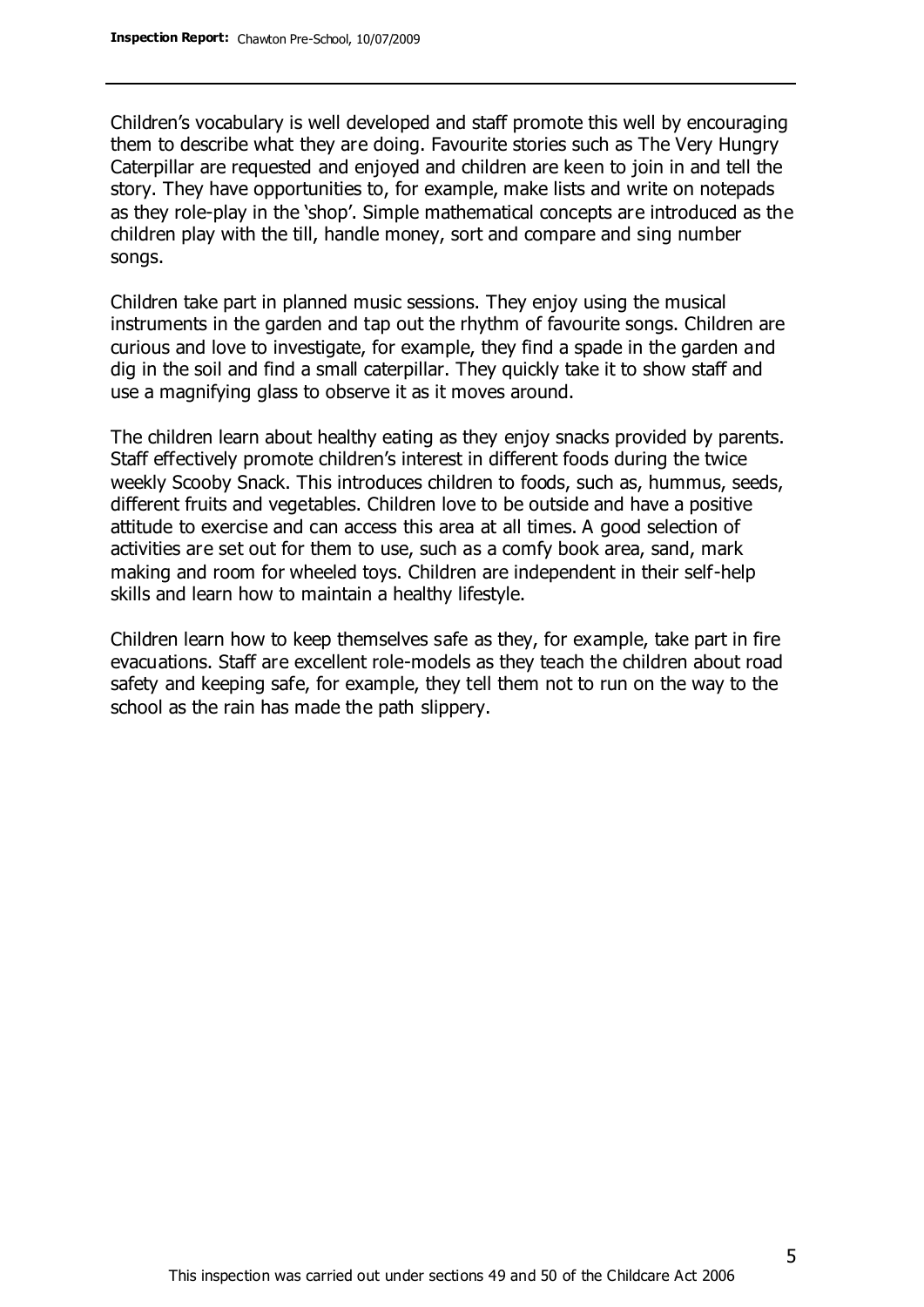Children's vocabulary is well developed and staff promote this well by encouraging them to describe what they are doing. Favourite stories such as The Very Hungry Caterpillar are requested and enjoyed and children are keen to join in and tell the story. They have opportunities to, for example, make lists and write on notepads as they role-play in the 'shop'. Simple mathematical concepts are introduced as the children play with the till, handle money, sort and compare and sing number songs.

Children take part in planned music sessions. They enjoy using the musical instruments in the garden and tap out the rhythm of favourite songs. Children are curious and love to investigate, for example, they find a spade in the garden and dig in the soil and find a small caterpillar. They quickly take it to show staff and use a magnifying glass to observe it as it moves around.

The children learn about healthy eating as they enjoy snacks provided by parents. Staff effectively promote children's interest in different foods during the twice weekly Scooby Snack. This introduces children to foods, such as, hummus, seeds, different fruits and vegetables. Children love to be outside and have a positive attitude to exercise and can access this area at all times. A good selection of activities are set out for them to use, such as a comfy book area, sand, mark making and room for wheeled toys. Children are independent in their self-help skills and learn how to maintain a healthy lifestyle.

Children learn how to keep themselves safe as they, for example, take part in fire evacuations. Staff are excellent role-models as they teach the children about road safety and keeping safe, for example, they tell them not to run on the way to the school as the rain has made the path slippery.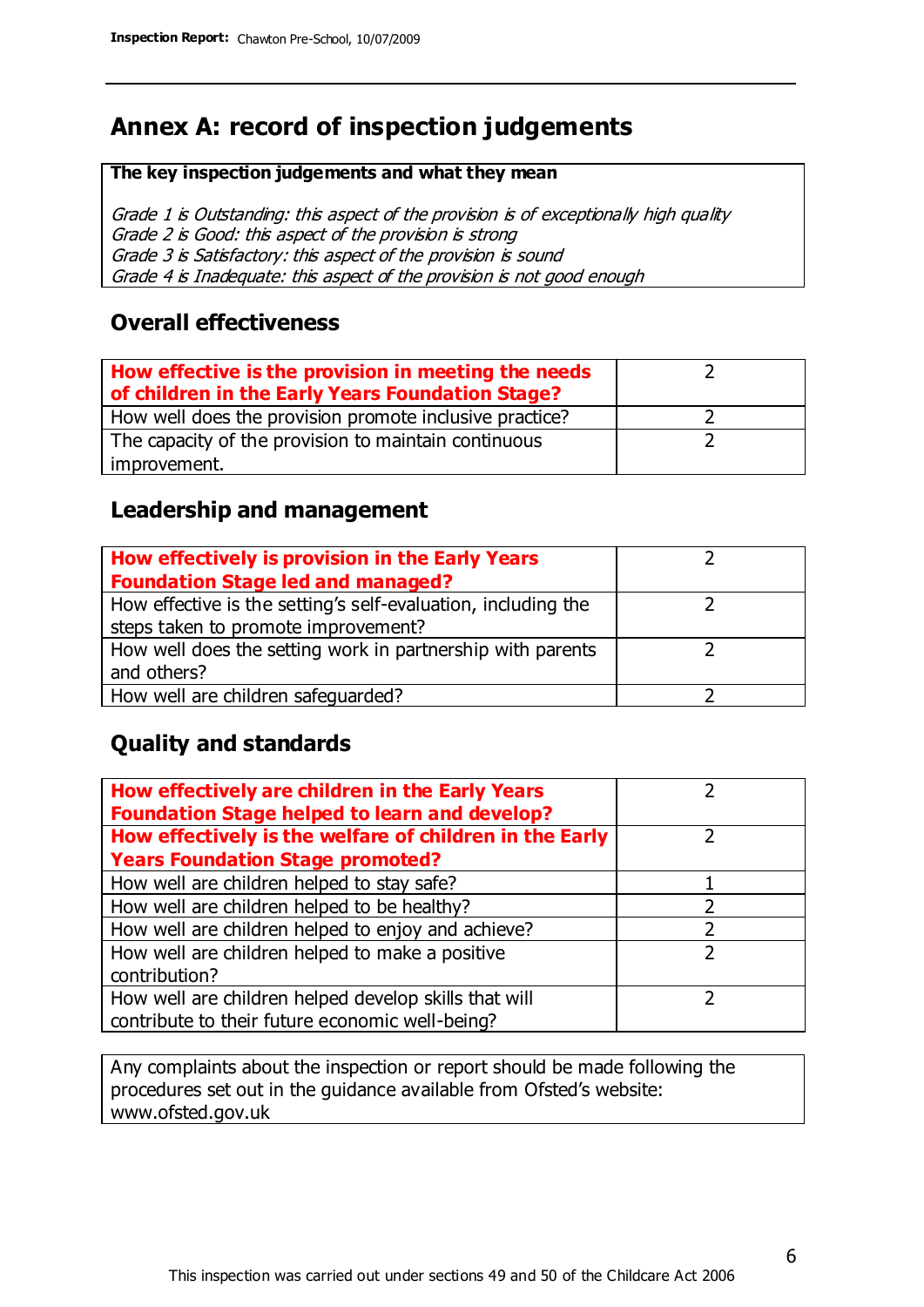# **Annex A: record of inspection judgements**

#### **The key inspection judgements and what they mean**

Grade 1 is Outstanding: this aspect of the provision is of exceptionally high quality Grade 2 is Good: this aspect of the provision is strong Grade 3 is Satisfactory: this aspect of the provision is sound Grade 4 is Inadequate: this aspect of the provision is not good enough

#### **Overall effectiveness**

| How effective is the provision in meeting the needs<br>of children in the Early Years Foundation Stage? |  |
|---------------------------------------------------------------------------------------------------------|--|
| How well does the provision promote inclusive practice?                                                 |  |
| The capacity of the provision to maintain continuous                                                    |  |
| improvement.                                                                                            |  |

#### **Leadership and management**

| How effectively is provision in the Early Years               |  |
|---------------------------------------------------------------|--|
| <b>Foundation Stage led and managed?</b>                      |  |
| How effective is the setting's self-evaluation, including the |  |
| steps taken to promote improvement?                           |  |
| How well does the setting work in partnership with parents    |  |
| and others?                                                   |  |
| How well are children safequarded?                            |  |

#### **Quality and standards**

| How effectively are children in the Early Years<br><b>Foundation Stage helped to learn and develop?</b> |   |
|---------------------------------------------------------------------------------------------------------|---|
| How effectively is the welfare of children in the Early                                                 |   |
| <b>Years Foundation Stage promoted?</b>                                                                 |   |
| How well are children helped to stay safe?                                                              |   |
| How well are children helped to be healthy?                                                             |   |
| How well are children helped to enjoy and achieve?                                                      |   |
| How well are children helped to make a positive                                                         | 2 |
| contribution?                                                                                           |   |
| How well are children helped develop skills that will                                                   |   |
| contribute to their future economic well-being?                                                         |   |

Any complaints about the inspection or report should be made following the procedures set out in the guidance available from Ofsted's website: www.ofsted.gov.uk